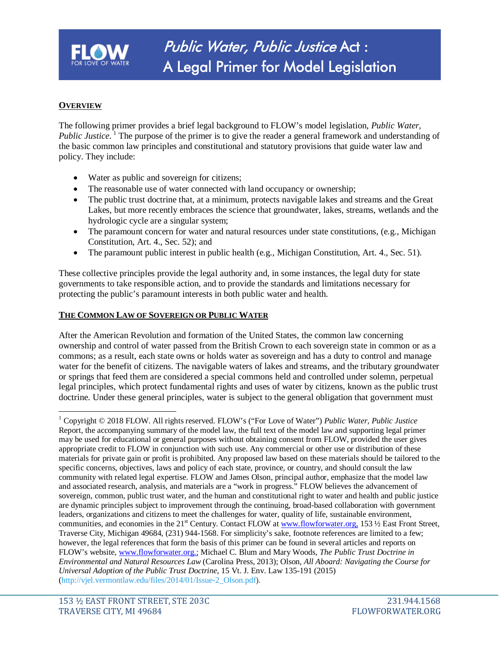

# **OVERVIEW**

The following primer provides a brief legal background to FLOW's model legislation, *Public Water, Public Justice*. <sup>[1](#page-0-0)</sup> The purpose of the primer is to give the reader a general framework and understanding of the basic common law principles and constitutional and statutory provisions that guide water law and policy. They include:

- Water as public and sovereign for citizens;
- The reasonable use of water connected with land occupancy or ownership;
- The public trust doctrine that, at a minimum, protects navigable lakes and streams and the Great Lakes, but more recently embraces the science that groundwater, lakes, streams, wetlands and the hydrologic cycle are a singular system;
- The paramount concern for water and natural resources under state constitutions, (e.g., Michigan Constitution, Art. 4., Sec. 52); and
- The paramount public interest in public health (e.g., Michigan Constitution, Art. 4., Sec. 51).

These collective principles provide the legal authority and, in some instances, the legal duty for state governments to take responsible action, and to provide the standards and limitations necessary for protecting the public's paramount interests in both public water and health.

#### **THE COMMON LAW OF SOVEREIGN OR PUBLIC WATER**

After the American Revolution and formation of the United States, the common law concerning ownership and control of water passed from the British Crown to each sovereign state in common or as a commons; as a result, each state owns or holds water as sovereign and has a duty to control and manage water for the benefit of citizens. The navigable waters of lakes and streams, and the tributary groundwater or springs that feed them are considered a special commons held and controlled under solemn, perpetual legal principles, which protect fundamental rights and uses of water by citizens, known as the public trust doctrine. Under these general principles, water is subject to the general obligation that government must

<span id="page-0-0"></span><sup>1</sup> Copyright © 2018 FLOW. All rights reserved. FLOW's ("For Love of Water") *Public Water, Public Justice* Report, the accompanying summary of the model law, the full text of the model law and supporting legal primer may be used for educational or general purposes without obtaining consent from FLOW, provided the user gives appropriate credit to FLOW in conjunction with such use. Any commercial or other use or distribution of these materials for private gain or profit is prohibited. Any proposed law based on these materials should be tailored to the specific concerns, objectives, laws and policy of each state, province, or country, and should consult the law community with related legal expertise. FLOW and James Olson, principal author, emphasize that the model law and associated research, analysis, and materials are a "work in progress." FLOW believes the advancement of sovereign, common, public trust water, and the human and constitutional right to water and health and public justice are dynamic principles subject to improvement through the continuing, broad-based collaboration with government leaders, organizations and citizens to meet the challenges for water, quality of life, sustainable environment, communities, and economies in the  $21^{\text{st}}$  Century. Contact FLOW at [www.flowforwater.org,](http://www.flowforwater.org/) 153  $\frac{1}{2}$  East Front Street, Traverse City, Michigan 49684, (231) 944-1568. For simplicity's sake, footnote references are limited to a few; however, the legal references that form the basis of this primer can be found in several articles and reports on FLOW's website, [www.flowforwater.org.;](http://www.flowforwater.org.;/) Michael C. Blum and Mary Woods, *The Public Trust Doctrine in Environmental and Natural Resources Law* (Carolina Press, 2013); Olson*, All Aboard: Navigating the Course for Universal Adoption of the Public Trust Doctrine*, 15 Vt. J. Env. Law 135-191 (2015) [\(http://vjel.vermontlaw.edu/files/2014/01/Issue-2\\_Olson.pdf\)](http://vjel.vermontlaw.edu/files/2014/01/Issue-2_Olson.pdf).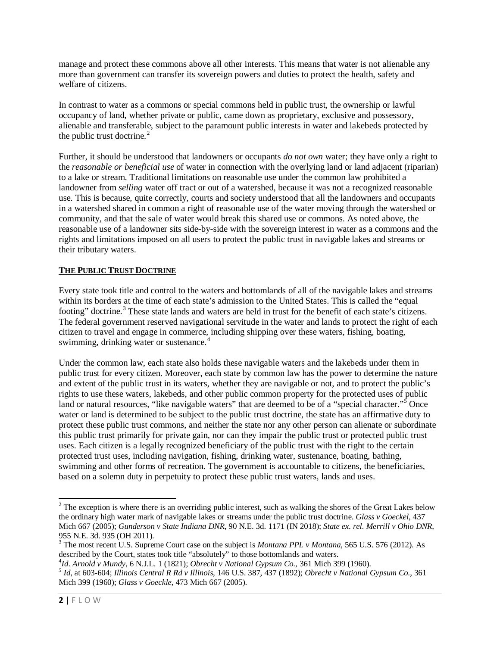manage and protect these commons above all other interests. This means that water is not alienable any more than government can transfer its sovereign powers and duties to protect the health, safety and welfare of citizens.

In contrast to water as a commons or special commons held in public trust, the ownership or lawful occupancy of land, whether private or public, came down as proprietary, exclusive and possessory, alienable and transferable, subject to the paramount public interests in water and lakebeds protected by the public trust doctrine. [2](#page-1-0)

Further, it should be understood that landowners or occupants *do not own* water; they have only a right to the *reasonable or beneficial use* of water in connection with the overlying land or land adjacent (riparian) to a lake or stream. Traditional limitations on reasonable use under the common law prohibited a landowner from *selling* water off tract or out of a watershed, because it was not a recognized reasonable use. This is because, quite correctly, courts and society understood that all the landowners and occupants in a watershed shared in common a right of reasonable use of the water moving through the watershed or community, and that the sale of water would break this shared use or commons. As noted above, the reasonable use of a landowner sits side-by-side with the sovereign interest in water as a commons and the rights and limitations imposed on all users to protect the public trust in navigable lakes and streams or their tributary waters.

## **THE PUBLIC TRUST DOCTRINE**

Every state took title and control to the waters and bottomlands of all of the navigable lakes and streams within its borders at the time of each state's admission to the United States. This is called the "equal footing" doctrine.<sup>[3](#page-1-1)</sup> These state lands and waters are held in trust for the benefit of each state's citizens. The federal government reserved navigational servitude in the water and lands to protect the right of each citizen to travel and engage in commerce, including shipping over these waters, fishing, boating, swimming, drinking water or sustenance.<sup>[4](#page-1-2)</sup>

Under the common law, each state also holds these navigable waters and the lakebeds under them in public trust for every citizen. Moreover, each state by common law has the power to determine the nature and extent of the public trust in its waters, whether they are navigable or not, and to protect the public's rights to use these waters, lakebeds, and other public common property for the protected uses of public land or natural resources, "like navigable waters" that are deemed to be of a "special character."<sup>[5](#page-1-3)</sup> Once water or land is determined to be subject to the public trust doctrine, the state has an affirmative duty to protect these public trust commons, and neither the state nor any other person can alienate or subordinate this public trust primarily for private gain, nor can they impair the public trust or protected public trust uses. Each citizen is a legally recognized beneficiary of the public trust with the right to the certain protected trust uses, including navigation, fishing, drinking water, sustenance, boating, bathing, swimming and other forms of recreation. The government is accountable to citizens, the beneficiaries, based on a solemn duty in perpetuity to protect these public trust waters, lands and uses.

<span id="page-1-0"></span> $2$  The exception is where there is an overriding public interest, such as walking the shores of the Great Lakes below the ordinary high water mark of navigable lakes or streams under the public trust doctrine. *Glass v Goeckel*, 437 Mich 667 (2005); *Gunderson v State Indiana DNR*, 90 N.E. 3d. 1171 (IN 2018); *State ex. rel. Merrill v Ohio DNR*, 955 N.E. 3d. 935 (OH 2011).

<span id="page-1-1"></span><sup>3</sup> The most recent U.S. Supreme Court case on the subject is *Montana PPL v Montana*, 565 U.S. 576 (2012). As described by the Court, states took title "absolutely" to those bottomlands and waters.<br> $^{4}Id$ . Arnold v Mundy, 6 N.J.L. 1 (1821); Obrecht v National Gypsum Co., 361 Mich 399 (1960).

<span id="page-1-2"></span>

<span id="page-1-3"></span> $5$  Id. at 603-604; Illinois Central R Rd v Illinois, 146 U.S. 387, 437 (1892); Obrecht v National Gypsum Co., 361 Mich 399 (1960); *Glass v Goeckle*, 473 Mich 667 (2005).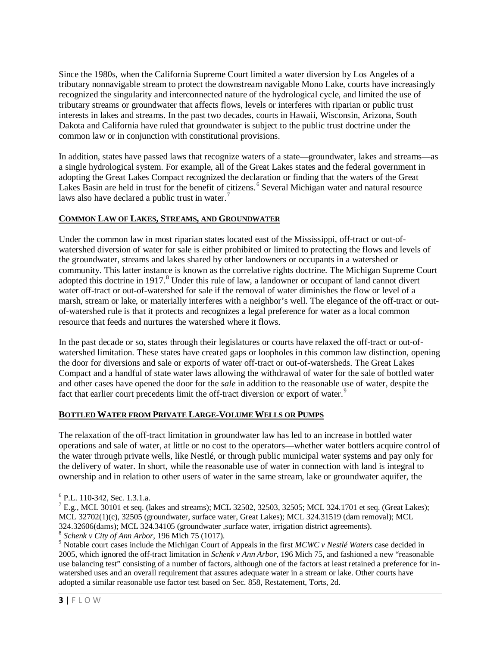Since the 1980s, when the California Supreme Court limited a water diversion by Los Angeles of a tributary nonnavigable stream to protect the downstream navigable Mono Lake, courts have increasingly recognized the singularity and interconnected nature of the hydrological cycle, and limited the use of tributary streams or groundwater that affects flows, levels or interferes with riparian or public trust interests in lakes and streams. In the past two decades, courts in Hawaii, Wisconsin, Arizona, South Dakota and California have ruled that groundwater is subject to the public trust doctrine under the common law or in conjunction with constitutional provisions.

In addition, states have passed laws that recognize waters of a state—groundwater, lakes and streams—as a single hydrological system. For example, all of the Great Lakes states and the federal government in adopting the Great Lakes Compact recognized the declaration or finding that the waters of the Great Lakes Basin are held in trust for the benefit of citizens.<sup>[6](#page-2-0)</sup> Several Michigan water and natural resource laws also have declared a public trust in water.<sup>[7](#page-2-1)</sup>

### **COMMON LAW OF LAKES, STREAMS, AND GROUNDWATER**

Under the common law in most riparian states located east of the Mississippi, off-tract or out-ofwatershed diversion of water for sale is either prohibited or limited to protecting the flows and levels of the groundwater, streams and lakes shared by other landowners or occupants in a watershed or community. This latter instance is known as the correlative rights doctrine. The Michigan Supreme Court adopted this doctrine in 1917.<sup>[8](#page-2-2)</sup> Under this rule of law, a landowner or occupant of land cannot divert water off-tract or out-of-watershed for sale if the removal of water diminishes the flow or level of a marsh, stream or lake, or materially interferes with a neighbor's well. The elegance of the off-tract or outof-watershed rule is that it protects and recognizes a legal preference for water as a local common resource that feeds and nurtures the watershed where it flows.

In the past decade or so, states through their legislatures or courts have relaxed the off-tract or out-ofwatershed limitation. These states have created gaps or loopholes in this common law distinction, opening the door for diversions and sale or exports of water off-tract or out-of-watersheds. The Great Lakes Compact and a handful of state water laws allowing the withdrawal of water for the sale of bottled water and other cases have opened the door for the *sale* in addition to the reasonable use of water, despite the fact that earlier court precedents limit the off-tract diversion or export of water.<sup>[9](#page-2-3)</sup>

## **BOTTLED WATER FROM PRIVATE LARGE-VOLUME WELLS OR PUMPS**

The relaxation of the off-tract limitation in groundwater law has led to an increase in bottled water operations and sale of water, at little or no cost to the operators—whether water bottlers acquire control of the water through private wells, like Nestlé, or through public municipal water systems and pay only for the delivery of water. In short, while the reasonable use of water in connection with land is integral to ownership and in relation to other users of water in the same stream, lake or groundwater aquifer, the

<span id="page-2-1"></span><span id="page-2-0"></span><sup>&</sup>lt;sup>6</sup> P.L. 110-342, Sec. 1.3.1.a.<br><sup>7</sup> E.g., MCL 30101 et seq. (lakes and streams); MCL 32502, 32503, 32505; MCL 324.1701 et seq. (Great Lakes); MCL 32702(1)(c), 32505 (groundwater, surface water, Great Lakes); MCL 324.31519 (dam removal); MCL 324.32606(dams); MCL 324.34105 (groundwater ,surface water, irrigation district agreements).

<span id="page-2-3"></span><span id="page-2-2"></span><sup>&</sup>lt;sup>8</sup> Schenk v City of Ann Arbor, 196 Mich 75 (1017).<br><sup>9</sup> Notable court cases include the Michigan Court of Appeals in the first MCWC v Nestlé Waters case decided in 2005, which ignored the off-tract limitation in *Schenk v Ann Arbor*, 196 Mich 75, and fashioned a new "reasonable use balancing test" consisting of a number of factors, although one of the factors at least retained a preference for inwatershed uses and an overall requirement that assures adequate water in a stream or lake. Other courts have adopted a similar reasonable use factor test based on Sec. 858, Restatement, Torts, 2d.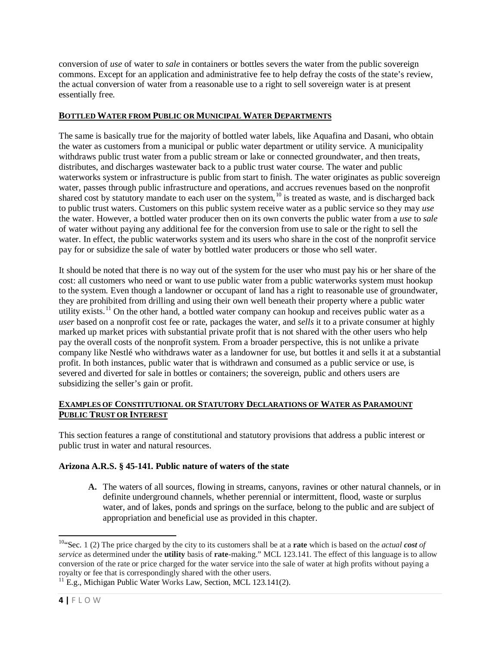conversion of *use* of water to *sale* in containers or bottles severs the water from the public sovereign commons. Except for an application and administrative fee to help defray the costs of the state's review, the actual conversion of water from a reasonable use to a right to sell sovereign water is at present essentially free.

### **BOTTLED WATER FROM PUBLIC OR MUNICIPAL WATER DEPARTMENTS**

The same is basically true for the majority of bottled water labels, like Aquafina and Dasani, who obtain the water as customers from a municipal or public water department or utility service. A municipality withdraws public trust water from a public stream or lake or connected groundwater, and then treats, distributes, and discharges wastewater back to a public trust water course. The water and public waterworks system or infrastructure is public from start to finish. The water originates as public sovereign water, passes through public infrastructure and operations, and accrues revenues based on the nonprofit shared cost by statutory mandate to each user on the system,<sup>[10](#page-3-0)</sup> is treated as waste, and is discharged back to public trust waters. Customers on this public system receive water as a public service so they may *use* the water. However, a bottled water producer then on its own converts the public water from a *use* to *sale* of water without paying any additional fee for the conversion from use to sale or the right to sell the water. In effect, the public waterworks system and its users who share in the cost of the nonprofit service pay for or subsidize the sale of water by bottled water producers or those who sell water.

It should be noted that there is no way out of the system for the user who must pay his or her share of the cost: all customers who need or want to use public water from a public waterworks system must hookup to the system. Even though a landowner or occupant of land has a right to reasonable use of groundwater, they are prohibited from drilling and using their own well beneath their property where a public water utility exists.<sup>[11](#page-3-1)</sup> On the other hand, a bottled water company can hookup and receives public water as a *user* based on a nonprofit cost fee or rate, packages the water, and *sells* it to a private consumer at highly marked up market prices with substantial private profit that is not shared with the other users who help pay the overall costs of the nonprofit system. From a broader perspective, this is not unlike a private company like Nestlé who withdraws water as a landowner for use, but bottles it and sells it at a substantial profit. In both instances, public water that is withdrawn and consumed as a public service or use, is severed and diverted for sale in bottles or containers; the sovereign, public and others users are subsidizing the seller's gain or profit.

## **EXAMPLES OF CONSTITUTIONAL OR STATUTORY DECLARATIONS OF WATER AS PARAMOUNT PUBLIC TRUST OR INTEREST**

This section features a range of constitutional and statutory provisions that address a public interest or public trust in water and natural resources.

## **Arizona A.R.S. § 45-141. Public nature of waters of the state**

**A.** The waters of all sources, flowing in streams, canyons, ravines or other natural channels, or in definite underground channels, whether perennial or intermittent, flood, waste or surplus water, and of lakes, ponds and springs on the surface, belong to the public and are subject of appropriation and beneficial use as provided in this chapter.

<span id="page-3-0"></span>10"Sec. 1 (2) The price charged by the city to its customers shall be at a **rate** which is based on the *actual cost of service* as determined under the **utility** basis of **rate**-making." MCL 123.141. The effect of this language is to allow conversion of the rate or price charged for the water service into the sale of water at high profits without paying a royalty or fee that is correspondingly shared with the other users. <sup>11</sup> E.g., Michigan Public Water Works Law, Section, MCL 123.141(2).

<span id="page-3-1"></span>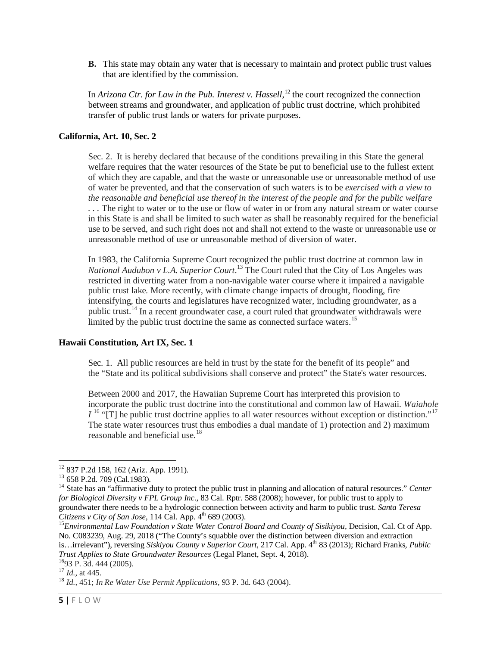**B.** This state may obtain any water that is necessary to maintain and protect public trust values that are identified by the commission.

In *Arizona Ctr. for Law in the Pub. Interest v. Hassell*,<sup>[12](#page-4-0)</sup> the court recognized the connection between streams and groundwater, and application of public trust doctrine, which prohibited transfer of public trust lands or waters for private purposes.

### **California, Art. 10, Sec. 2**

Sec. 2. It is hereby declared that because of the conditions prevailing in this State the general welfare requires that the water resources of the State be put to beneficial use to the fullest extent of which they are capable, and that the waste or unreasonable use or unreasonable method of use of water be prevented, and that the conservation of such waters is to be *exercised with a view to the reasonable and beneficial use thereof in the interest of the people and for the public welfare . . .* The right to water or to the use or flow of water in or from any natural stream or water course in this State is and shall be limited to such water as shall be reasonably required for the beneficial use to be served, and such right does not and shall not extend to the waste or unreasonable use or unreasonable method of use or unreasonable method of diversion of water.

In 1983, the California Supreme Court recognized the public trust doctrine at common law in *National Audubon v L.A. Superior Court*. [13](#page-4-1) The Court ruled that the City of Los Angeles was restricted in diverting water from a non-navigable water course where it impaired a navigable public trust lake. More recently, with climate change impacts of drought, flooding, fire intensifying, the courts and legislatures have recognized water, including groundwater, as a public trust.<sup>[14](#page-4-2)</sup> In a recent groundwater case, a court ruled that groundwater withdrawals were limited by the public trust doctrine the same as connected surface waters.<sup>[15](#page-4-3)</sup>

#### **Hawaii Constitution, Art IX, Sec. 1**

Sec. 1. All public resources are held in trust by the state for the benefit of its people" and the "State and its political subdivisions shall conserve and protect" the State's water resources.

Between 2000 and 2017, the Hawaiian Supreme Court has interpreted this provision to incorporate the public trust doctrine into the constitutional and common law of Hawaii. *Waiahole*   $I<sup>16</sup>$  $I<sup>16</sup>$  $I<sup>16</sup>$  "[T] he public trust doctrine applies to all water resources without exception or distinction."<sup>[17](#page-4-5)</sup> The state water resources trust thus embodies a dual mandate of 1) protection and 2) maximum reasonable and beneficial use.<sup>[18](#page-4-6)</sup>

<span id="page-4-2"></span>

<span id="page-4-1"></span><span id="page-4-0"></span><sup>12</sup> 837 P.2d 158, 162 (Ariz. App. 1991). <sup>13</sup> 658 P.2d. 709 (Cal.1983). <sup>14</sup> State has an "affirmative duty to protect the public trust in planning and allocation of natural resources." *Center for Biological Diversity v FPL Group Inc*., 83 Cal. Rptr. 588 (2008); however, for public trust to apply to groundwater there needs to be a hydrologic connection between activity and harm to public trust. *Santa Teresa* 

<span id="page-4-3"></span><sup>&</sup>lt;sup>15</sup> Environmental Law Foundation v State Water Control Board and County of Sisikiyou, Decision, Cal. Ct of App. No. C083239, Aug. 29, 2018 ("The County's squabble over the distinction between diversion and extraction is…irrelevant"), reversing *Siskiyou County v Superior Court*, 217 Cal. App. 4<sup>th</sup> 83 (2013); Richard Franks, *Public Trust Applies to State Groundwater Resources* (Legal Planet, Sept. 4, 2018).<br><sup>16</sup>93 P. 3d. 444 (2005).<br><sup>17</sup> *Id.*, at 445.

<span id="page-4-5"></span><span id="page-4-4"></span>

<span id="page-4-6"></span><sup>&</sup>lt;sup>18</sup> *Id.,* 451; *In Re Water Use Permit Applications*, 93 P. 3d. 643 (2004).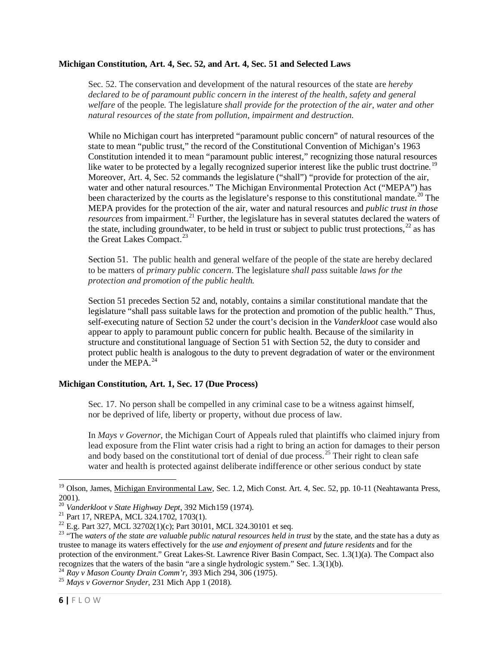#### **Michigan Constitution, Art. 4, Sec. 52, and Art. 4, Sec. 51 and Selected Laws**

Sec. 52. The conservation and development of the natural resources of the state are *hereby*  declared to be of paramount public concern in the interest of the health, safety and general *welfare* of the people. The legislature *shall provide for the protection of the air, water and other natural resources of the state from pollution, impairment and destruction.*

While no Michigan court has interpreted "paramount public concern" of natural resources of the state to mean "public trust," the record of the Constitutional Convention of Michigan's 1963 Constitution intended it to mean "paramount public interest," recognizing those natural resources like water to be protected by a legally recognized superior interest like the public trust doctrine.<sup>[19](#page-5-0)</sup> Moreover, Art. 4, Sec. 52 commands the legislature ("shall") "provide for protection of the air, water and other natural resources." The Michigan Environmental Protection Act ("MEPA") has been characterized by the courts as the legislature's response to this constitutional mandate.<sup>[20](#page-5-1)</sup> The MEPA provides for the protection of the air, water and natural resources and *public trust in those resources* from impairment.<sup>[21](#page-5-2)</sup> Further, the legislature has in several statutes declared the waters of the state, including groundwater, to be held in trust or subject to public trust protections,  $^{22}$  $^{22}$  $^{22}$  as has the Great Lakes Compact.<sup>[23](#page-5-4)</sup>

Section 51. The public health and general welfare of the people of the state are hereby declared to be matters of *primary public concern*. The legislature *shall pass* suitable *laws for the protection and promotion of the public health.*

Section 51 precedes Section 52 and, notably, contains a similar constitutional mandate that the legislature "shall pass suitable laws for the protection and promotion of the public health." Thus, self-executing nature of Section 52 under the court's decision in the *Vanderkloot* case would also appear to apply to paramount public concern for public health. Because of the similarity in structure and constitutional language of Section 51 with Section 52, the duty to consider and protect public health is analogous to the duty to prevent degradation of water or the environment under the MEPA. $^{24}$  $^{24}$  $^{24}$ 

## **Michigan Constitution, Art. 1, Sec. 17 (Due Process)**

Sec. 17. No person shall be compelled in any criminal case to be a witness against himself, nor be deprived of life, liberty or property, without due process of law.

In *Mays v Governor*, the Michigan Court of Appeals ruled that plaintiffs who claimed injury from lead exposure from the Flint water crisis had a right to bring an action for damages to their person and body based on the constitutional tort of denial of due process.<sup>[25](#page-5-6)</sup> Their right to clean safe water and health is protected against deliberate indifference or other serious conduct by state

<span id="page-5-0"></span><sup>&</sup>lt;sup>19</sup> Olson, James, Michigan Environmental Law, Sec. 1.2, Mich Const. Art. 4, Sec. 52, pp. 10-11 (Neahtawanta Press, 2001).<br><sup>20</sup> Vanderkloot v State Highway Dept, 392 Mich159 (1974).

<span id="page-5-4"></span>

<span id="page-5-3"></span><span id="page-5-2"></span><span id="page-5-1"></span><sup>&</sup>lt;sup>21</sup> Part 17, NREPA, MCL 324.1702, 1703(1).<br><sup>22</sup> E.g. Part 327, MCL 32702(1)(c); Part 30101, MCL 324.30101 et seq.<br><sup>23</sup> "The *waters of the state are valuable public natural resources held in trust by the state, and the s* trustee to manage its waters effectively for the *use and enjoyment of present and future residents* and for the protection of the environment." Great Lakes-St. Lawrence River Basin Compact, Sec. 1.3(1)(a). The Compact also recognizes that the waters of the basin "are a single hydrologic system." Sec. 1.3(1)(b).

<span id="page-5-5"></span><sup>24</sup> *Ray v Mason County Drain Comm'r,* 393 Mich 294, 306 (1975). <sup>25</sup> *Mays v Governor Snyder,* 231 Mich App 1 (2018).

<span id="page-5-6"></span>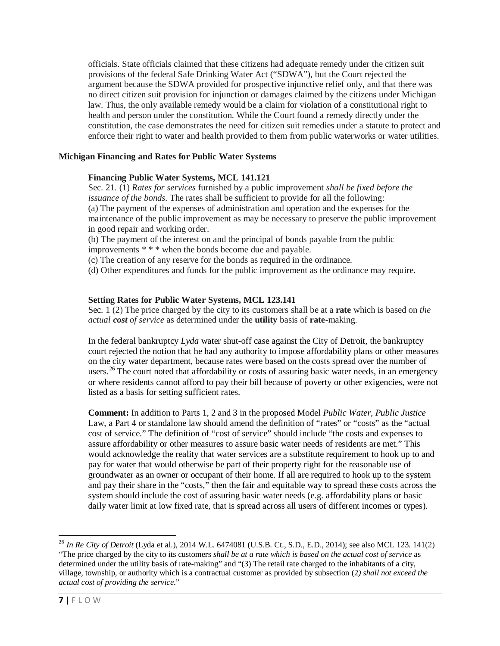officials. State officials claimed that these citizens had adequate remedy under the citizen suit provisions of the federal Safe Drinking Water Act ("SDWA"), but the Court rejected the argument because the SDWA provided for prospective injunctive relief only, and that there was no direct citizen suit provision for injunction or damages claimed by the citizens under Michigan law. Thus, the only available remedy would be a claim for violation of a constitutional right to health and person under the constitution. While the Court found a remedy directly under the constitution, the case demonstrates the need for citizen suit remedies under a statute to protect and enforce their right to water and health provided to them from public waterworks or water utilities.

## **Michigan Financing and Rates for Public Water Systems**

### **Financing Public Water Systems, MCL 141.121**

Sec. 21. (1) *Rates for services* furnished by a public improvement *shall be fixed before the issuance of the bonds.* The rates shall be sufficient to provide for all the following: (a) The payment of the expenses of administration and operation and the expenses for the maintenance of the public improvement as may be necessary to preserve the public improvement in good repair and working order.

(b) The payment of the interest on and the principal of bonds payable from the public improvements \* \* \* when the bonds become due and payable.

(c) The creation of any reserve for the bonds as required in the ordinance.

(d) Other expenditures and funds for the public improvement as the ordinance may require.

### **Setting Rates for Public Water Systems, MCL 123.141**

Sec. 1 (2) The price charged by the city to its customers shall be at a **rate** which is based on *the actual cost of service* as determined under the **utility** basis of **rate**-making.

In the federal bankruptcy *Lyda* water shut-off case against the City of Detroit, the bankruptcy court rejected the notion that he had any authority to impose affordability plans or other measures on the city water department, because rates were based on the costs spread over the number of users.<sup>[26](#page-6-0)</sup> The court noted that affordability or costs of assuring basic water needs, in an emergency or where residents cannot afford to pay their bill because of poverty or other exigencies, were not listed as a basis for setting sufficient rates.

**Comment:** In addition to Parts 1, 2 and 3 in the proposed Model *Public Water, Public Justice* Law, a Part 4 or standalone law should amend the definition of "rates" or "costs" as the "actual cost of service." The definition of "cost of service" should include "the costs and expenses to assure affordability or other measures to assure basic water needs of residents are met." This would acknowledge the reality that water services are a substitute requirement to hook up to and pay for water that would otherwise be part of their property right for the reasonable use of groundwater as an owner or occupant of their home. If all are required to hook up to the system and pay their share in the "costs," then the fair and equitable way to spread these costs across the system should include the cost of assuring basic water needs (e.g. affordability plans or basic daily water limit at low fixed rate, that is spread across all users of different incomes or types).

<span id="page-6-0"></span><sup>26</sup> *In Re City of Detroit* (Lyda et al.), 2014 W.L. 6474081 (U.S.B. Ct., S.D., E.D., 2014); see also MCL 123. 141(2) "The price charged by the city to its customers *shall be at a rate which is based on the actual cost of service* as determined under the utility basis of rate-making" and "(3) The retail rate charged to the inhabitants of a city, village, township, or authority which is a contractual customer as provided by subsection (2*) shall not exceed the actual cost of providing the service*."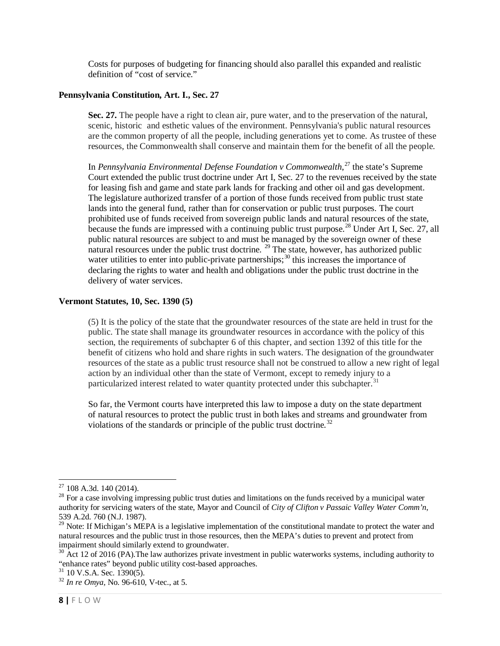Costs for purposes of budgeting for financing should also parallel this expanded and realistic definition of "cost of service."

### **Pennsylvania Constitution, Art. I., Sec. 27**

**Sec. 27.** The people have a right to clean air, pure water, and to the preservation of the natural, scenic, historic and esthetic values of the environment. Pennsylvania's public natural resources are the common property of all the people, including generations yet to come. As trustee of these resources, the Commonwealth shall conserve and maintain them for the benefit of all the people.

In *Pennsylvania Environmental Defense Foundation v Commonwealth*, [27](#page-7-0) the state's Supreme Court extended the public trust doctrine under Art I, Sec. 27 to the revenues received by the state for leasing fish and game and state park lands for fracking and other oil and gas development. The legislature authorized transfer of a portion of those funds received from public trust state lands into the general fund, rather than for conservation or public trust purposes. The court prohibited use of funds received from sovereign public lands and natural resources of the state, because the funds are impressed with a continuing public trust purpose.<sup>[28](#page-7-1)</sup> Under Art I, Sec. 27, all public natural resources are subject to and must be managed by the sovereign owner of these natural resources under the public trust doctrine.<sup>[29](#page-7-2)</sup> The state, however, has authorized public water utilities to enter into public-private partnerships;<sup>[30](#page-7-3)</sup> this increases the importance of declaring the rights to water and health and obligations under the public trust doctrine in the delivery of water services.

## **Vermont Statutes, 10, Sec. 1390 (5)**

(5) It is the policy of the state that the groundwater resources of the state are held in trust for the public. The state shall manage its groundwater resources in accordance with the policy of this section, the requirements of subchapter 6 of this chapter, and section 1392 of this title for the benefit of citizens who hold and share rights in such waters. The designation of the groundwater resources of the state as a public trust resource shall not be construed to allow a new right of legal action by an individual other than the state of Vermont, except to remedy injury to a particularized interest related to water quantity protected under this subchapter.<sup>[31](#page-7-4)</sup>

So far, the Vermont courts have interpreted this law to impose a duty on the state department of natural resources to protect the public trust in both lakes and streams and groundwater from violations of the standards or principle of the public trust doctrine.<sup>[32](#page-7-5)</sup>

<span id="page-7-1"></span><span id="page-7-0"></span><sup>&</sup>lt;sup>27</sup> 108 A.3d. 140 (2014).<br><sup>28</sup> For a case involving impressing public trust duties and limitations on the funds received by a municipal water authority for servicing waters of the state, Mayor and Council of *City of Clifton v Passaic Valley Water Comm'n*, 539 A.2d. 760 (N.J. 1987).

<span id="page-7-2"></span> $29$  Note: If Michigan's MEPA is a legislative implementation of the constitutional mandate to protect the water and natural resources and the public trust in those resources, then the MEPA's duties to prevent and protect from impairment should similarly extend to groundwater.

<span id="page-7-3"></span><sup>&</sup>lt;sup>30</sup> Act 12 of 2016 (PA). The law authorizes private investment in public waterworks systems, including authority to "enhance rates" beyond public utility cost-based approaches. <sup>31</sup> 10 V.S.A. Sec. 1390(5). <sup>32</sup> *In re Omya,* No. 96-610, V-tec., at 5.

<span id="page-7-4"></span>

<span id="page-7-5"></span>